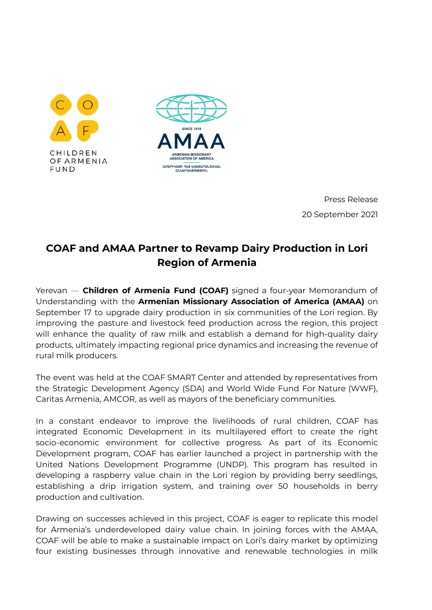



Press Release 20 September 2021

## **COAF and AMAA Partner to Revamp Dairy Production in Lori Region of Armenia**

Yerevan — **Children of Armenia Fund (COAF)** signed a four-year Memorandum of Understanding with the **Armenian Missionary Association of America (AMAA)** on September 17 to upgrade dairy production in six communities of the Lori region. By improving the pasture and livestock feed production across the region, this project will enhance the quality of raw milk and establish a demand for high-quality dairy products, ultimately impacting regional price dynamics and increasing the revenue of rural milk producers.

The event was held at the COAF SMART Center and attended by representatives from the Strategic Development Agency (SDA) and World Wide Fund For Nature (WWF), Caritas Armenia, AMCOR, as well as mayors of the beneficiary communities.

In a constant endeavor to improve the livelihoods of rural children, COAF has integrated Economic Development in its multilayered effort to create the right socio-economic environment for collective progress. As part of its Economic Development program, COAF has earlier launched a project in partnership with the United Nations Development Programme (UNDP). This program has resulted in developing a raspberry value chain in the Lori region by providing berry seedlings, establishing a drip irrigation system, and training over 50 households in berry production and cultivation.

Drawing on successes achieved in this project, COAF is eager to replicate this model for Armenia's underdeveloped dairy value chain. In joining forces with the AMAA, COAF will be able to make a sustainable impact on Lori's dairy market by optimizing four existing businesses through innovative and renewable technologies in milk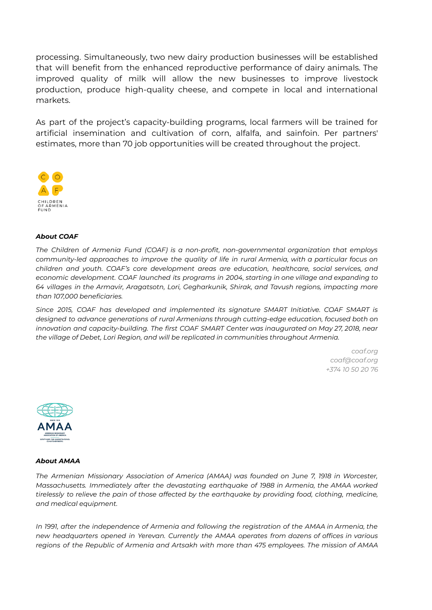processing. Simultaneously, two new dairy production businesses will be established that will benefit from the enhanced reproductive performance of dairy animals. The improved quality of milk will allow the new businesses to improve livestock production, produce high-quality cheese, and compete in local and international markets.

As part of the project's capacity-building programs, local farmers will be trained for artificial insemination and cultivation of corn, alfalfa, and sainfoin. Per partners' estimates, more than 70 job opportunities will be created throughout the project.



## *About COAF*

*The Children of Armenia Fund (COAF) is a non-profit, non-governmental organization that employs community-led approaches to improve the quality of life in rural Armenia, with a particular focus on children and youth. COAF's core development areas are education, healthcare, social services, and economic development. COAF launched its programs in 2004, starting in one village and expanding to 64 villages in the Armavir, Aragatsotn, Lori, Gegharkunik, Shirak, and Tavush regions, impacting more than 107,000 beneficiaries.*

*Since 2015, COAF has developed and implemented its signature SMART Initiative. COAF SMART is designed to advance generations of rural Armenians through cutting-edge education, focused both on innovation and capacity-building. The first COAF SMART Center was inaugurated on May 27, 2018, near the village of Debet, Lori Region, and will be replicated in communities throughout Armenia.*

> *coaf.org coaf@coaf.org +374 10 50 20 76*



## *About AMAA*

*The Armenian Missionary Association of America (AMAA) was founded on June 7, 1918 in Worcester, Massachusetts. Immediately after the devastating earthquake of 1988 in Armenia, the AMAA worked tirelessly to relieve the pain of those affected by the earthquake by providing food, clothing, medicine, and medical equipment.*

*In 1991, after the independence of Armenia and following the registration of the AMAA in Armenia, the new headquarters opened in Yerevan. Currently the AMAA operates from dozens of offices in various regions of the Republic of Armenia and Artsakh with more than 475 employees. The mission of AMAA*